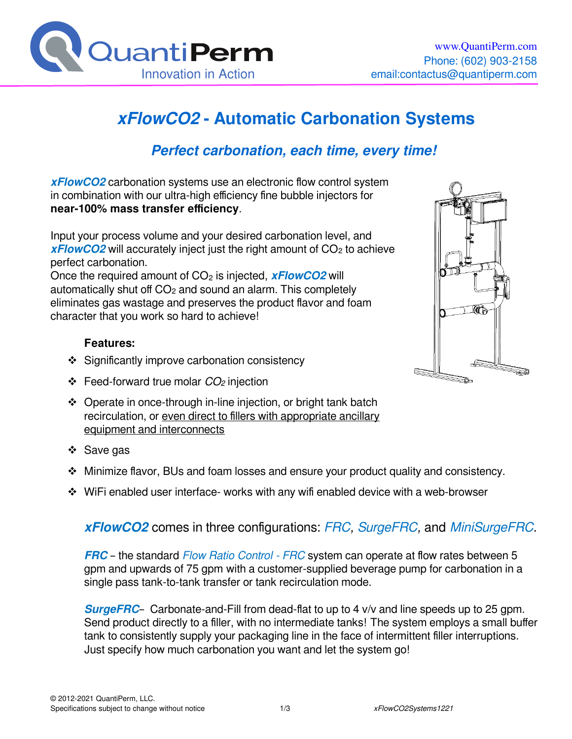

# **xFlowCO2 - Automatic Carbonation Systems**

## **Perfect carbonation, each time, every time!**

**xFlowCO2** carbonation systems use an electronic flow control system in combination with our ultra-high efficiency fine bubble injectors for **near-100% mass transfer efficiency**.

Input your process volume and your desired carbonation level, and *xFlowCO2* will accurately inject just the right amount of CO<sub>2</sub> to achieve perfect carbonation.

Once the required amount of CO<sub>2</sub> is injected, **xFlowCO2** will automatically shut off  $CO<sub>2</sub>$  and sound an alarm. This completely eliminates gas wastage and preserves the product flavor and foam character that you work so hard to achieve!

### **Features:**

- $\div$  Significantly improve carbonation consistency
- $\div$  Feed-forward true molar  $CO<sub>2</sub>$  injection
- Operate in once-through in-line injection, or bright tank batch recirculation, or even direct to fillers with appropriate ancillary equipment and interconnects
- ❖ Save gas
- Minimize flavor, BUs and foam losses and ensure your product quality and consistency.
- WiFi enabled user interface- works with any wifi enabled device with a web-browser

### **xFlowCO2** comes in three configurations: FRC, SurgeFRC, and MiniSurgeFRC.

**FRC** – the standard Flow Ratio Control - FRC system can operate at flow rates between 5 gpm and upwards of 75 gpm with a customer-supplied beverage pump for carbonation in a single pass tank-to-tank transfer or tank recirculation mode.

**SurgeFRC**– Carbonate-and-Fill from dead-flat to up to 4 v/v and line speeds up to 25 gpm. Send product directly to a filler, with no intermediate tanks! The system employs a small buffer tank to consistently supply your packaging line in the face of intermittent filler interruptions. Just specify how much carbonation you want and let the system go!

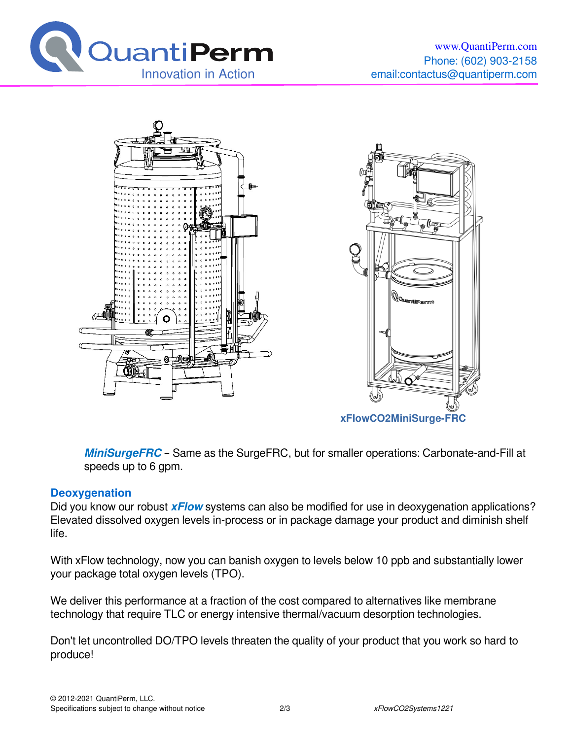





**MiniSurgeFRC** – Same as the SurgeFRC, but for smaller operations: Carbonate-and-Fill at speeds up to 6 gpm.

### **Deoxygenation**

Did you know our robust **xFlow** systems can also be modified for use in deoxygenation applications? Elevated dissolved oxygen levels in-process or in package damage your product and diminish shelf life.

With xFlow technology, now you can banish oxygen to levels below 10 ppb and substantially lower your package total oxygen levels (TPO).

We deliver this performance at a fraction of the cost compared to alternatives like membrane technology that require TLC or energy intensive thermal/vacuum desorption technologies.

Don't let uncontrolled DO/TPO levels threaten the quality of your product that you work so hard to produce!